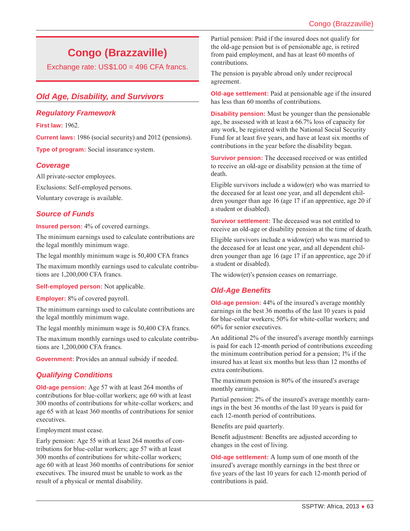# **Congo (Brazzaville)**

Exchange rate: US\$1.00 = 496 CFA francs.

# *Old Age, Disability, and Survivors*

### *Regulatory Framework*

**First law:** 1962.

**Current laws:** 1986 (social security) and 2012 (pensions).

**Type of program:** Social insurance system.

### *Coverage*

All private-sector employees.

Exclusions: Self-employed persons.

Voluntary coverage is available.

# *Source of Funds*

**Insured person:** 4% of covered earnings.

The minimum earnings used to calculate contributions are the legal monthly minimum wage.

The legal monthly minimum wage is 50,400 CFA francs

The maximum monthly earnings used to calculate contributions are 1,200,000 CFA francs.

**Self-employed person:** Not applicable.

**Employer:** 8% of covered payroll.

The minimum earnings used to calculate contributions are the legal monthly minimum wage.

The legal monthly minimum wage is 50,400 CFA francs.

The maximum monthly earnings used to calculate contributions are 1,200,000 CFA francs.

**Government:** Provides an annual subsidy if needed.

### *Qualifying Conditions*

**Old-age pension:** Age 57 with at least 264 months of contributions for blue-collar workers; age 60 with at least 300 months of contributions for white-collar workers; and age 65 with at least 360 months of contributions for senior executives.

Employment must cease.

Early pension: Age 55 with at least 264 months of contributions for blue-collar workers; age 57 with at least 300 months of contributions for white-collar workers; age 60 with at least 360 months of contributions for senior executives. The insured must be unable to work as the result of a physical or mental disability.

Partial pension: Paid if the insured does not qualify for the old-age pension but is of pensionable age, is retired from paid employment, and has at least 60 months of contributions.

The pension is payable abroad only under reciprocal agreement.

**Old-age settlement:** Paid at pensionable age if the insured has less than 60 months of contributions.

**Disability pension:** Must be younger than the pensionable age, be assessed with at least a 66.7% loss of capacity for any work, be registered with the National Social Security Fund for at least five years, and have at least six months of contributions in the year before the disability began.

**Survivor pension:** The deceased received or was entitled to receive an old-age or disability pension at the time of death.

Eligible survivors include a widow(er) who was married to the deceased for at least one year, and all dependent children younger than age 16 (age 17 if an apprentice, age 20 if a student or disabled).

**Survivor settlement:** The deceased was not entitled to receive an old-age or disability pension at the time of death.

Eligible survivors include a widow(er) who was married to the deceased for at least one year, and all dependent children younger than age 16 (age 17 if an apprentice, age 20 if a student or disabled).

The widow(er)'s pension ceases on remarriage.

# *Old-Age Benefits*

**Old-age pension:** 44% of the insured's average monthly earnings in the best 36 months of the last 10 years is paid for blue-collar workers; 50% for white-collar workers; and 60% for senior executives.

An additional 2% of the insured's average monthly earnings is paid for each 12-month period of contributions exceeding the minimum contribution period for a pension; 1% if the insured has at least six months but less than 12 months of extra contributions.

The maximum pension is 80% of the insured's average monthly earnings.

Partial pension: 2% of the insured's average monthly earnings in the best 36 months of the last 10 years is paid for each 12-month period of contributions.

Benefits are paid quarterly.

Benefit adjustment: Benefits are adjusted according to changes in the cost of living.

**Old-age settlement:** A lump sum of one month of the insured's average monthly earnings in the best three or five years of the last 10 years for each 12-month period of contributions is paid.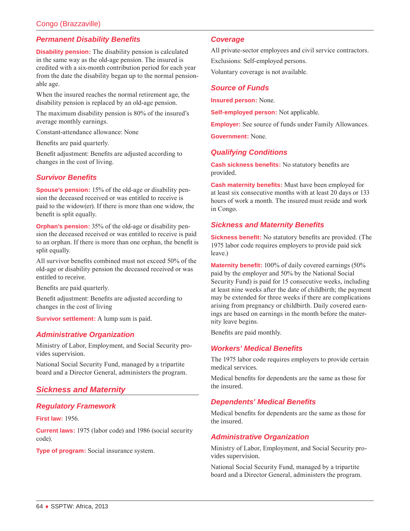# *Permanent Disability Benefits*

**Disability pension:** The disability pension is calculated in the same way as the old-age pension. The insured is credited with a six-month contribution period for each year from the date the disability began up to the normal pensionable age.

When the insured reaches the normal retirement age, the disability pension is replaced by an old-age pension.

The maximum disability pension is 80% of the insured's average monthly earnings.

Constant-attendance allowance: None

Benefits are paid quarterly.

Benefit adjustment: Benefits are adjusted according to changes in the cost of living.

### *Survivor Benefits*

**Spouse's pension:** 15% of the old-age or disability pension the deceased received or was entitled to receive is paid to the widow(er). If there is more than one widow, the benefit is split equally.

**Orphan's pension:** 35% of the old-age or disability pension the deceased received or was entitled to receive is paid to an orphan. If there is more than one orphan, the benefit is split equally.

All survivor benefits combined must not exceed 50% of the old-age or disability pension the deceased received or was entitled to receive.

Benefits are paid quarterly.

Benefit adjustment: Benefits are adjusted according to changes in the cost of living

**Survivor settlement:** A lump sum is paid.

### *Administrative Organization*

Ministry of Labor, Employment, and Social Security provides supervision.

National Social Security Fund, managed by a tripartite board and a Director General, administers the program.

# *Sickness and Maternity*

# *Regulatory Framework*

### **First law:** 1956.

**Current laws:** 1975 (labor code) and 1986 (social security code).

**Type of program:** Social insurance system.

### *Coverage*

All private-sector employees and civil service contractors. Exclusions: Self-employed persons.

Voluntary coverage is not available.

### *Source of Funds*

**Insured person:** None.

**Self-employed person:** Not applicable.

**Employer:** See source of funds under Family Allowances.

**Government:** None.

# *Qualifying Conditions*

**Cash sickness benefits:** No statutory benefits are provided.

**Cash maternity benefits:** Must have been employed for at least six consecutive months with at least 20 days or 133 hours of work a month. The insured must reside and work in Congo.

# *Sickness and Maternity Benefits*

**Sickness benefit:** No statutory benefits are provided. (The 1975 labor code requires employers to provide paid sick leave.)

**Maternity benefit:** 100% of daily covered earnings (50% paid by the employer and 50% by the National Social Security Fund) is paid for 15 consecutive weeks, including at least nine weeks after the date of childbirth; the payment may be extended for three weeks if there are complications arising from pregnancy or childbirth. Daily covered earnings are based on earnings in the month before the maternity leave begins.

Benefits are paid monthly.

### *Workers' Medical Benefits*

The 1975 labor code requires employers to provide certain medical services.

Medical benefits for dependents are the same as those for the insured.

# *Dependents' Medical Benefits*

Medical benefits for dependents are the same as those for the insured.

# *Administrative Organization*

Ministry of Labor, Employment, and Social Security provides supervision.

National Social Security Fund, managed by a tripartite board and a Director General, administers the program.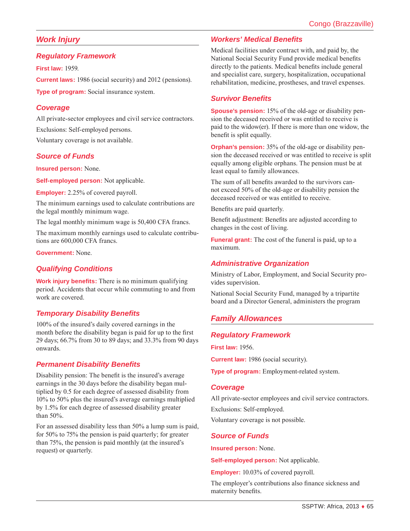# *Work Injury*

### *Regulatory Framework*

**First law:** 1959.

**Current laws:** 1986 (social security) and 2012 (pensions).

**Type of program:** Social insurance system.

### *Coverage*

All private-sector employees and civil service contractors. Exclusions: Self-employed persons.

Voluntary coverage is not available.

### *Source of Funds*

**Insured person:** None.

**Self-employed person:** Not applicable.

**Employer:** 2.25% of covered payroll.

The minimum earnings used to calculate contributions are the legal monthly minimum wage.

The legal monthly minimum wage is 50,400 CFA francs.

The maximum monthly earnings used to calculate contributions are 600,000 CFA francs.

**Government:** None.

### *Qualifying Conditions*

**Work injury benefits:** There is no minimum qualifying period. Accidents that occur while commuting to and from work are covered.

### *Temporary Disability Benefits*

100% of the insured's daily covered earnings in the month before the disability began is paid for up to the first 29 days; 66.7% from 30 to 89 days; and 33.3% from 90 days onwards.

### *Permanent Disability Benefits*

Disability pension: The benefit is the insured's average earnings in the 30 days before the disability began multiplied by 0.5 for each degree of assessed disability from 10% to 50% plus the insured's average earnings multiplied by 1.5% for each degree of assessed disability greater than 50%.

For an assessed disability less than 50% a lump sum is paid, for 50% to 75% the pension is paid quarterly; for greater than 75%, the pension is paid monthly (at the insured's request) or quarterly.

### *Workers' Medical Benefits*

Medical facilities under contract with, and paid by, the National Social Security Fund provide medical benefits directly to the patients. Medical benefits include general and specialist care, surgery, hospitalization, occupational rehabilitation, medicine, prostheses, and travel expenses.

### *Survivor Benefits*

**Spouse's pension:** 15% of the old-age or disability pension the deceased received or was entitled to receive is paid to the widow(er). If there is more than one widow, the benefit is split equally.

**Orphan's pension:** 35% of the old-age or disability pension the deceased received or was entitled to receive is split equally among eligible orphans. The pension must be at least equal to family allowances.

The sum of all benefits awarded to the survivors cannot exceed 50% of the old-age or disability pension the deceased received or was entitled to receive.

Benefits are paid quarterly.

Benefit adjustment: Benefits are adjusted according to changes in the cost of living.

**Funeral grant:** The cost of the funeral is paid, up to a maximum.

### *Administrative Organization*

Ministry of Labor, Employment, and Social Security provides supervision.

National Social Security Fund, managed by a tripartite board and a Director General, administers the program

### *Family Allowances*

### *Regulatory Framework*

**First law:** 1956.

**Current law:** 1986 (social security).

**Type of program:** Employment-related system.

### *Coverage*

All private-sector employees and civil service contractors. Exclusions: Self-employed.

Voluntary coverage is not possible.

### *Source of Funds*

**Insured person:** None.

**Self-employed person:** Not applicable.

**Employer:** 10.03% of covered payroll.

The employer's contributions also finance sickness and maternity benefits.